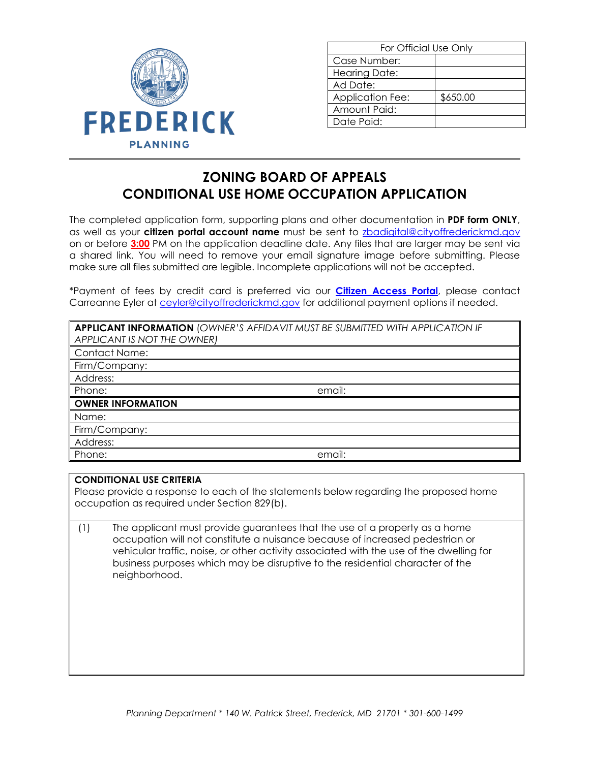

| For Official Use Only   |          |
|-------------------------|----------|
| Case Number:            |          |
| Hearing Date:           |          |
| Ad Date:                |          |
| <b>Application Fee:</b> | \$650.00 |
| Amount Paid:            |          |
| Date Paid:              |          |
|                         |          |

## **ZONING BOARD OF APPEALS CONDITIONAL USE HOME OCCUPATION APPLICATION**

The completed application form, supporting plans and other documentation in **PDF form ONLY**, as well as your **citizen portal account name** must be sent to [zbadigital@cityoffrederickmd.gov](mailto:zbddigital@cityoffrederickmd.gov) on or before **3:00** PM on the application deadline date. Any files that are larger may be sent via a shared link. You will need to remove your email signature image before submitting. Please make sure all files submitted are legible. Incomplete applications will not be accepted.

\*Payment of fees by credit card is preferred via our **[Citizen Access Portal](https://gcc02.safelinks.protection.outlook.com/?url=https%3A%2F%2Fcitizenaccess.cityoffrederick.com%2Fcitizenaccess%2F&data=02%7C01%7Cgcollard%40cityoffrederickmd.gov%7Cad3d08217e17487711b308d7d4cd9765%7Cc379f8550dee4b099f890cee3aa7f761%7C0%7C0%7C637211851779890394&sdata=fTC85eZgbuzzFKzq%2Fio%2FHxCILWPquIWiY8bsVzLfTtM%3D&reserved=0)**, please contact Carreanne Eyler at [ceyler@cityoffrederickmd.gov](mailto:ceyler@cityoffrederickmd.gov) for additional payment options if needed.

| APPLICANT IS NOT THE OWNER) |
|-----------------------------|
| <b>Contact Name:</b>        |
| Firm/Company:               |
| Address:                    |
| Phone:<br>email:            |
| <b>OWNER INFORMATION</b>    |
| Name:                       |
| Firm/Company:               |
| Address:                    |
| Phone:<br>email:            |

## **CONDITIONAL USE CRITERIA**

Please provide a response to each of the statements below regarding the proposed home occupation as required under Section 829(b).

(1) The applicant must provide guarantees that the use of a property as a home occupation will not constitute a nuisance because of increased pedestrian or vehicular traffic, noise, or other activity associated with the use of the dwelling for business purposes which may be disruptive to the residential character of the neighborhood.